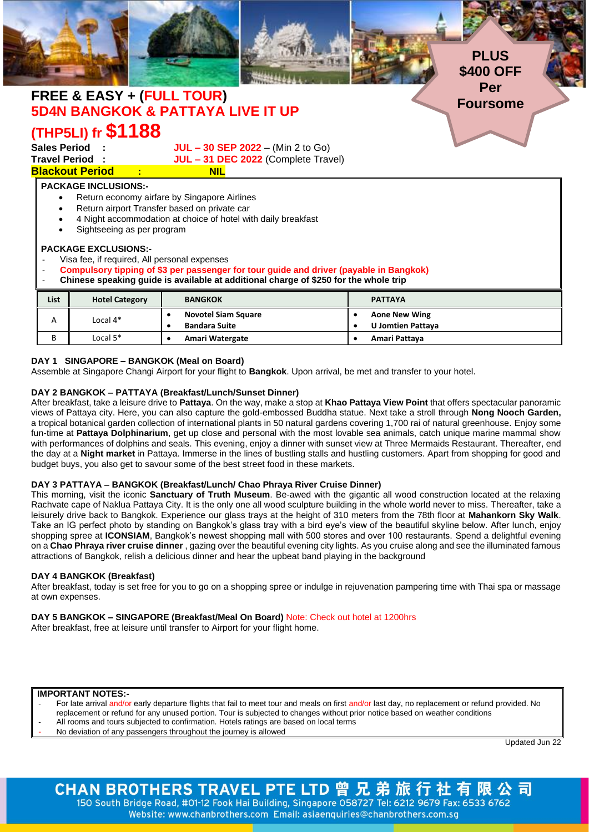

# **FREE & EASY + (FULL TOUR) 5D4N BANGKOK & PATTAYA LIVE IT UP**

# **(THP5LI) fr \$1188**

**Blackout Period : NIL**

**Sales Period : JUL – 30 SEP 2022** – (Min 2 to Go) **Travel Period : JUL – 31 DEC 2022** (Complete Travel)

### **PACKAGE INCLUSIONS:-**

- Return economy airfare by Singapore Airlines
- Return airport Transfer based on private car
- 4 Night accommodation at choice of hotel with daily breakfast
- Sightseeing as per program

#### **PACKAGE EXCLUSIONS:-**

- Visa fee, if required, All personal expenses
- **Compulsory tipping of \$3 per passenger for tour guide and driver (payable in Bangkok)**
- **Chinese speaking guide is available at additional charge of \$250 for the whole trip**

| List | <b>Hotel Category</b> | <b>BANGKOK</b>                                     | <b>PATTAYA</b>                            |
|------|-----------------------|----------------------------------------------------|-------------------------------------------|
| А    | Local 4*              | <b>Novotel Siam Square</b><br><b>Bandara Suite</b> | <b>Aone New Wing</b><br>U Jomtien Pattaya |
|      | Local $5^*$           | Amari Watergate                                    | Amari Pattaya                             |

### **DAY 1 SINGAPORE – BANGKOK (Meal on Board)**

Assemble at Singapore Changi Airport for your flight to **Bangkok**. Upon arrival, be met and transfer to your hotel.

#### **DAY 2 BANGKOK – PATTAYA (Breakfast/Lunch/Sunset Dinner)**

After breakfast, take a leisure drive to **Pattaya**. On the way, make a stop at **Khao Pattaya View Point** that offers spectacular panoramic views of Pattaya city. Here, you can also capture the gold-embossed Buddha statue. Next take a stroll through **Nong Nooch Garden,**  a tropical botanical garden collection of international plants in 50 natural gardens covering 1,700 rai of natural greenhouse. Enjoy some fun-time at **Pattaya Dolphinarium**, get up close and personal with the most lovable sea animals, catch unique marine mammal show with performances of dolphins and seals. This evening, enjoy a dinner with sunset view at Three Mermaids Restaurant. Thereafter, end the day at a **Night market** in Pattaya. Immerse in the lines of bustling stalls and hustling customers. Apart from shopping for good and budget buys, you also get to savour some of the best street food in these markets.

#### **DAY 3 PATTAYA – BANGKOK (Breakfast/Lunch/ Chao Phraya River Cruise Dinner)**

This morning, visit the iconic **Sanctuary of Truth Museum**. Be-awed with the gigantic all wood construction located at the relaxing Rachvate cape of Naklua Pattaya City. It is the only one all wood sculpture building in the whole world never to miss. Thereafter, take a leisurely drive back to Bangkok. Experience our glass trays at the height of 310 meters from the 78th floor at **Mahankorn Sky Walk**. Take an IG perfect photo by standing on Bangkok's glass tray with a bird eye's view of the beautiful skyline below. After lunch, enjoy shopping spree at **ICONSIAM**, Bangkok's newest shopping mall with 500 stores and over 100 restaurants. Spend a delightful evening on a **Chao Phraya river cruise dinner** , gazing over the beautiful evening city lights. As you cruise along and see the illuminated famous attractions of Bangkok, relish a delicious dinner and hear the upbeat band playing in the background

#### **DAY 4 BANGKOK (Breakfast)**

After breakfast, today is set free for you to go on a shopping spree or indulge in rejuvenation pampering time with Thai spa or massage at own expenses.

**DAY 5 BANGKOK – SINGAPORE (Breakfast/Meal On Board)** Note: Check out hotel at 1200hrs

After breakfast, free at leisure until transfer to Airport for your flight home.

#### **IMPORTANT NOTES:-**

- For late arrival and/or early departure flights that fail to meet tour and meals on first and/or last day, no replacement or refund provided. No
- replacement or refund for any unused portion. Tour is subjected to changes without prior notice based on weather conditions All rooms and tours subjected to confirmation. Hotels ratings are based on local terms
- No deviation of any passengers throughout the journey is allowed

Updated Jun 22

**Foursome**



Website: www.chanbrothers.com Email: asiaenquiries@chanbrothers.com.sg